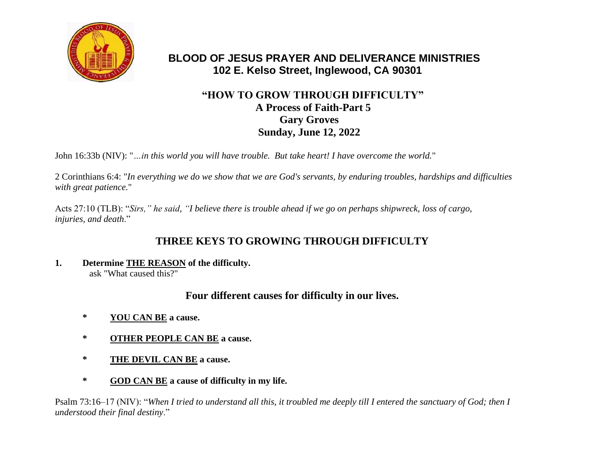

# **BLOOD OF JESUS PRAYER AND DELIVERANCE MINISTRIES 102 E. Kelso Street, Inglewood, CA 90301**

# **"HOW TO GROW THROUGH DIFFICULTY" A Process of Faith-Part 5 Gary Groves Sunday, June 12, 2022**

John 16:33b (NIV): "*…in this world you will have trouble. But take heart! I have overcome the world.*"

2 Corinthians 6:4: "*In everything we do we show that we are God's servants, by enduring troubles, hardships and difficulties with great patience.*"

Acts 27:10 (TLB): "*Sirs," he said, "I believe there is trouble ahead if we go on perhaps shipwreck, loss of cargo, injuries, and death*."

# **THREE KEYS TO GROWING THROUGH DIFFICULTY**

**1. Determine THE REASON of the difficulty.**  ask "What caused this?"

# **Four different causes for difficulty in our lives.**

- **\* YOU CAN BE a cause.**
- **\* OTHER PEOPLE CAN BE a cause.**
- **\* THE DEVIL CAN BE a cause.**
- **\* GOD CAN BE a cause of difficulty in my life.**

Psalm 73:16–17 (NIV): "*When I tried to understand all this, it troubled me deeply till I entered the sanctuary of God; then I understood their final destiny*."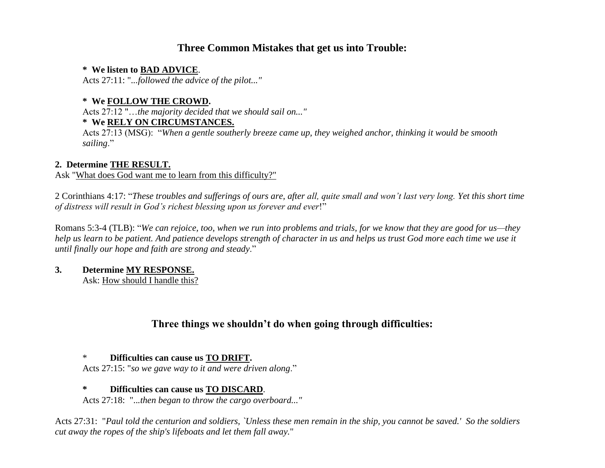# **Three Common Mistakes that get us into Trouble:**

#### **\* We listen to BAD ADVICE**.

Acts 27:11: "*...followed the advice of the pilot..."* 

### **\* We FOLLOW THE CROWD.**

Acts 27:12 "…*the majority decided that we should sail on..."*

### **\* We RELY ON CIRCUMSTANCES.**

Acts 27:13 (MSG): "*When a gentle southerly breeze came up, they weighed anchor, thinking it would be smooth sailing*."

### **2. Determine THE RESULT.**

Ask "What does God want me to learn from this difficulty?"

2 Corinthians 4:17: "*These troubles and sufferings of ours are, after all, quite small and won't last very long. Yet this short time of distress will result in God's richest blessing upon us forever and ever*!"

Romans 5:3-4 (TLB): "*We can rejoice, too, when we run into problems and trials, for we know that they are good for us—they help us learn to be patient. And patience develops strength of character in us and helps us trust God more each time we use it until finally our hope and faith are strong and steady*."

## **3. Determine MY RESPONSE.**

Ask: How should I handle this?

# **Three things we shouldn't do when going through difficulties:**

### \* **Difficulties can cause us TO DRIFT.**

Acts 27:15: "*so we gave way to it and were driven along*."

### **\* Difficulties can cause us TO DISCARD**.

Acts 27:18: "..*.then began to throw the cargo overboard..."* 

Acts 27:31: "*Paul told the centurion and soldiers, `Unless these men remain in the ship, you cannot be saved.' So the soldiers cut away the ropes of the ship's lifeboats and let them fall away.*"